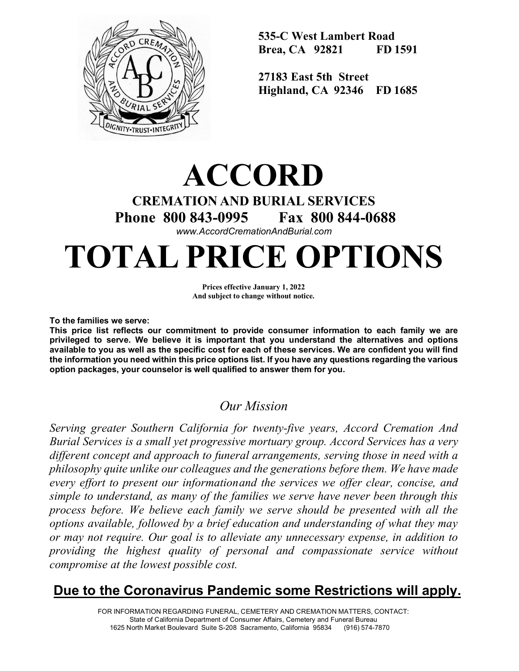

**535-C West Lambert Road Brea, CA 92821 FD 1591** 

**27183 East 5th Street Highland, CA 92346 FD 1685** 

# **ACCORD CREMATION AND BURIAL SERVICES Phone 800 843-0995 Fax 800 844-0688** *[www.AccordCremationAndBurial.com](http://www.accordcremationandburial.com/)*

# **TOTAL PRICE OPTIONS**

**Prices effective January 1, 2022 And subject to change without notice.**

**To the families we serve:**

**This price list reflects our commitment to provide consumer information to each family we are privileged to serve. We believe it is important that you understand the alternatives and options available to you as well as the specific cost for each of these services. We are confident you will find the information you need within this price options list. If you have any questions regarding the various option packages, your counselor is well qualified to answer them for you.**

## *Our Mission*

*Serving greater Southern California for twenty-five years, Accord Cremation And Burial Services is a small yet progressive mortuary group. Accord Services has a very different concept and approach to funeral arrangements, serving those in need with a philosophy quite unlike our colleagues and the generations before them. We have made every effort to present our informationand the services we offer clear, concise, and simple to understand, as many of the families we serve have never been through this process before. We believe each family we serve should be presented with all the options available, followed by a brief education and understanding of what they may or may not require. Our goal is to alleviate any unnecessary expense, in addition to providing the highest quality of personal and compassionate service without compromise at the lowest possible cost.*

# **Due to the Coronavirus Pandemic some Restrictions will apply.**

FOR INFORMATION REGARDING FUNERAL, CEMETERY AND CREMATION MATTERS, CONTACT: State of California Department of Consumer Affairs, Cemetery and Funeral Bureau 1625 North Market Boulevard Suite S-208 Sacramento, California 95834 (916) 574-7870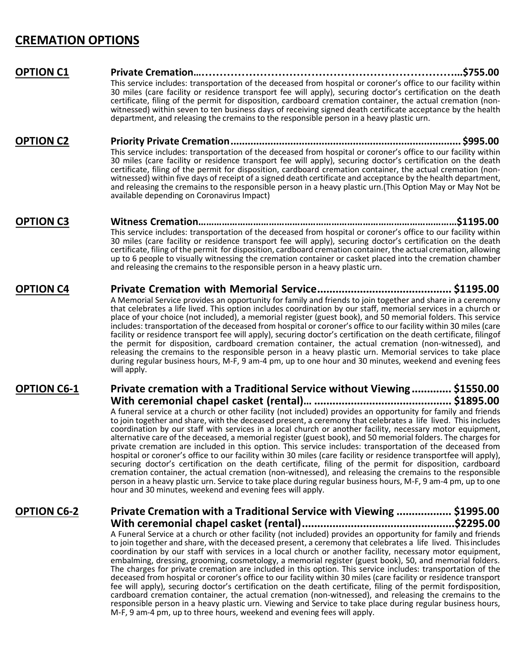## **CREMATION OPTIONS**

#### **OPTION C1 Private Cremation………………………………………………………………...\$755.00**

This service includes: transportation of the deceased from hospital or coroner's office to our facility within 30 miles (care facility or residence transport fee will apply), securing doctor's certification on the death certificate, filing of the permit for disposition, cardboard cremation container, the actual cremation (non- witnessed) within seven to ten business days of receiving signed death certificate acceptance by the health department, and releasing the cremains to the responsible person in a heavy plastic urn.

#### **OPTION C2 Priority Private Cremation................................................................................. \$995.00** This service includes: transportation of the deceased from hospital or coroner's office to our facility within 30 miles (care facility or residence transport fee will apply), securing doctor's certification on the death certification (nonwitnessed) within five days of receipt of a signed death certificate and acceptance by the health department, and releasing the cremains to the responsible person in a heavy plastic urn.(This Option May or May Not be available depending on Coronavirus Impact)

#### **OPTION C3 Witness Cremation………………………………………………………………………………………\$1195.00** This service includes: transportation of the deceased from hospital or coroner's office to our facility within 30 miles (care facility or residence transport fee will apply), securing doctor's certification on the death certificate, filing of the permit for disposition, cardboard cremation container, the actual cremation, allowing up to 6 people to visually witnessing the cremation container or casket placed into the cremation chamber and releasing the cremains to the responsible person in a heavy plastic urn.

#### **OPTION C4 Private Cremation with Memorial Service............................................ \$1195.00** A Memorial Service provides an opportunity for family and friends to join together and share in a ceremony that celebrates a life lived. This option includes coordination by our staff, memorial services in a church or place of your choice (not included), a memorial register (guest book), and 50 memorial folders. This service includes: transportation of the deceased from hospital or coroner's office to our facility within 30 miles (care facility or residence transport fee will apply), securing doctor's certification on the death certificate, filingof the permit for disposition, cardboard cremation container, the actual cremation (non-witnessed), and releasing the cremains to the responsible person in a heavy plastic urn. Memorial services to take place during regular business hours, M-F, 9 am-4 pm, up to one hour and 30 minutes, weekend and evening fees will apply.

#### **OPTION C6-1 Private cremation with a Traditional Service without Viewing ............. \$1550.00 With ceremonial chapel casket (rental)… ............................................. \$1895.00** A funeral service at a church or other facility (not included) provides an opportunity for family and friends to join together and share, with the deceased present, a ceremony that celebrates a life lived. This includes coordination by our staff with services in a local church or another facility, necessary motor equipment, alternative care of the deceased, a memorial register (guest book), and 50 memorial folders. The charges for private cremation are included in this option. This service includes: transportation of the deceased from hospital or coroner's office to our facility within 30 miles (care facility or residence transportfee will apply), securing doctor's certification on the death certificate, filing of the permit for disposition, cardboard cremation container, the actual cremation (non-witnessed), and releasing the cremains to the responsible person in a heavy plastic urn. Service to take place during regular business hours, M-F, 9 am-4 pm, up to one

hour and 30 minutes, weekend and evening fees will apply.

### **OPTION C6-2 Private Cremation with a Traditional Service with Viewing .................. \$1995.00 With ceremonial chapel casket (rental)..................................................\$2295.00**

A Funeral Service at a church or other facility (not included) provides an opportunity for family and friends to join together and share, with the deceased present, a ceremony that celebrates a life lived. This includes coordination by our staff with services in a local church or another facility, necessary motor equipment, embalming, dressing, grooming, cosmetology, a memorial register (guest book), 50, and memorial folders. The charges for private cremation are included in this option. This service includes: transportation of the deceased from hospital or coroner's office to our facility within 30 miles (care facility or residence transport fee will apply), securing doctor's certification on the death certificate, filing of the permit fordisposition, cardboard cremation container, the actual cremation (non-witnessed), and releasing the cremains to the responsible person in a heavy plastic urn. Viewing and Service to take place during regular business hours, M-F, 9 am-4 pm, up to three hours, weekend and evening fees will apply.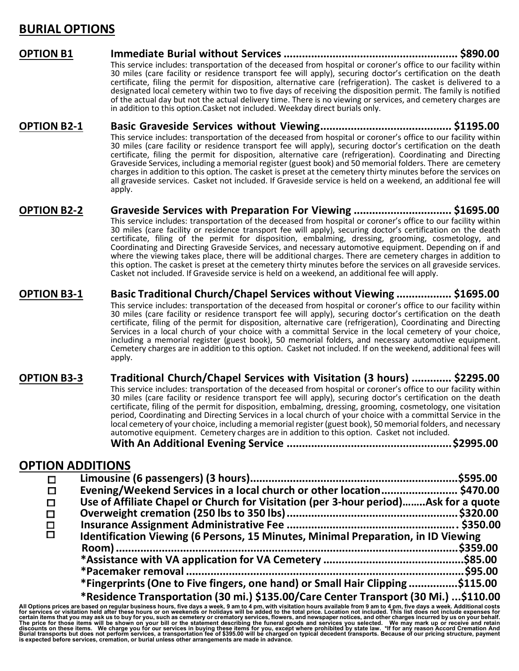## **BURIAL OPTIONS**

- **OPTION B1 Immediate Burial without Services ......................................................... \$890.00** This service includes: transportation of the deceased from hospital or coroner's office to our facility within 30 miles (care facility or residence transport fee will apply), securing doctor's certification on the death certificate, filing the permit for disposition, alternative care (refrigeration). The casket is delivered to a designated local cemetery within two to five days of receiving the disposition permit. The family is notified of the actual day but not the actual delivery time. There is no viewing or services, and cemetery charges are in addition to this option.Casket not included. Weekday direct burials only.
- **OPTION B2-1 Basic Graveside Services without Viewing........................................... \$1195.00** This service includes: transportation of the deceased from hospital or coroner's office to our facility within 30 miles (care facility or residence transport fee will apply), securing doctor's certification on the death certificate, filing the permit for disposition, alternative care (refrigeration). Coordinating and Directing Graveside Services, including a memorial register (guest book) and 50 memorial folders. There are cemetery charges in addition to this option. The casket is preset at the cemetery thirty minutes before the services on all graveside services. Casket not included. If Graveside service is held on a weekend, an additional fee will apply.
- **OPTION B2-2 Graveside Services with Preparation For Viewing ................................ \$1695.00** This service includes: transportation of the deceased from hospital or coroner's office to our facility within 30 miles (care facility or residence transport fee will apply), securing doctor's certification on the death certificate, filing of the permit for disposition, embalming, dressing, grooming, cosmetology, and Coordinating and Directing Graveside Services, and necessary automotive equipment. Depending on if and where the viewing takes place, there will be additional charges. There are cemetery charges in addition to this option. The casket is preset at the cemetery thirty minutes before the services on all graveside services. Casket not included. If Graveside service is held on a weekend, an additional fee will apply.
- **OPTION B3-1 Basic Traditional Church/Chapel Services without Viewing .................. \$1695.00** This service includes: transportation of the deceased from hospital or coroner's office to our facility within 30 miles (care facility or residence transport fee will apply), securing doctor's certification on the death certificate, filing of the permit for disposition, alternative care (refrigeration), Coordinating and Directing Services in a local church of your choice with a committal Service in the local cemetery of your choice, including a memorial register (guest book), 50 memorial folders, and necessary automotive equipment. Cemetery charges are in addition to this option. Casket not included. If on the weekend, additional fees will apply.

**OPTION B3-3 Traditional Church/Chapel Services with Visitation (3 hours) ............. \$2295.00** This service includes: transportation of the deceased from hospital or coroner's office to our facility within 30 miles (care facility or residence transport fee will apply), securing doctor's certification on the death certificate, filing of the permit for disposition, embalming, dressing, grooming, cosmetology, one visitation period, Coordinating and Directing Services in a local church of your choice with a committal Service in the local cemetery of your choice, including a memorial register (guest book), 50 memorial folders, and necessary

automotive equipment. Cemetery charges are in addition to this option. Casket not included. **With An Additional Evening Service ......................................................\$2995.00**

### **OPTION ADDITIONS**

| Evening/Weekend Services in a local church or other location \$470.00               |  |
|-------------------------------------------------------------------------------------|--|
| Use of Affiliate Chapel or Church for Visitation (per 3-hour period)Ask for a quote |  |
|                                                                                     |  |
|                                                                                     |  |
| Identification Viewing (6 Persons, 15 Minutes, Minimal Preparation, in ID Viewing   |  |
| .\$359.00                                                                           |  |
|                                                                                     |  |
|                                                                                     |  |
| *Fingerprints (One to Five fingers, one hand) or Small Hair Clipping \$115.00       |  |
| *Residence Transportation (30 mi.) \$135.00/Care Center Transport (30 Mi.) \$110.00 |  |

**Examplement CONSCRIPT ASSOCITED AND THEORY CONSCRIPT ASSOCITED AND DRIGHT ASSOCITED AND PROPORT AND PROPORT TRANSPORT (30 MI.) ...\$110.00<br>For services are based on regular business hours, five days a week, 9 am to 4 pm, w**